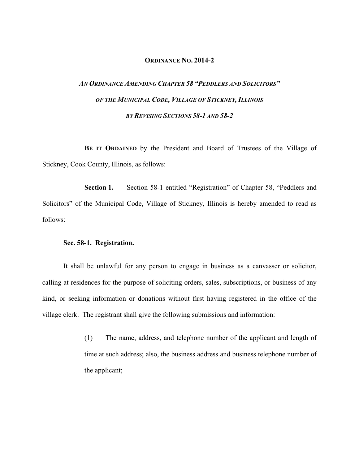## **ORDINANCE NO. 2014-2**

## *AN ORDINANCE AMENDING CHAPTER 58 "PEDDLERS AND SOLICITORS" OF THE MUNICIPAL CODE, VILLAGE OF STICKNEY, ILLINOIS BY REVISING SECTIONS 58-1 AND 58-2*

**BE IT ORDAINED** by the President and Board of Trustees of the Village of Stickney, Cook County, Illinois, as follows:

**Section 1.** Section 58-1 entitled "Registration" of Chapter 58, "Peddlers and Solicitors" of the Municipal Code, Village of Stickney, Illinois is hereby amended to read as follows:

## **Sec. 58-1. Registration.**

It shall be unlawful for any person to engage in business as a canvasser or solicitor, calling at residences for the purpose of soliciting orders, sales, subscriptions, or business of any kind, or seeking information or donations without first having registered in the office of the village clerk. The registrant shall give the following submissions and information:

> (1) The name, address, and telephone number of the applicant and length of time at such address; also, the business address and business telephone number of the applicant;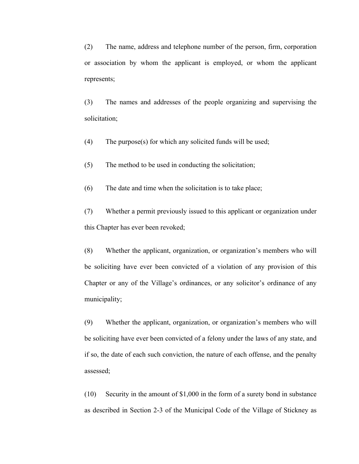(2) The name, address and telephone number of the person, firm, corporation or association by whom the applicant is employed, or whom the applicant represents;

(3) The names and addresses of the people organizing and supervising the solicitation;

(4) The purpose(s) for which any solicited funds will be used;

(5) The method to be used in conducting the solicitation;

(6) The date and time when the solicitation is to take place;

(7) Whether a permit previously issued to this applicant or organization under this Chapter has ever been revoked;

(8) Whether the applicant, organization, or organization's members who will be soliciting have ever been convicted of a violation of any provision of this Chapter or any of the Village's ordinances, or any solicitor's ordinance of any municipality;

(9) Whether the applicant, organization, or organization's members who will be soliciting have ever been convicted of a felony under the laws of any state, and if so, the date of each such conviction, the nature of each offense, and the penalty assessed;

(10) Security in the amount of \$1,000 in the form of a surety bond in substance as described in Section 2-3 of the Municipal Code of the Village of Stickney as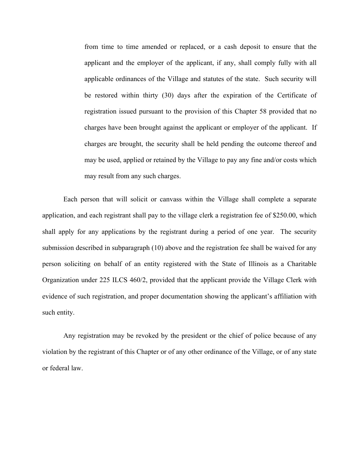from time to time amended or replaced, or a cash deposit to ensure that the applicant and the employer of the applicant, if any, shall comply fully with all applicable ordinances of the Village and statutes of the state. Such security will be restored within thirty (30) days after the expiration of the Certificate of registration issued pursuant to the provision of this Chapter 58 provided that no charges have been brought against the applicant or employer of the applicant. If charges are brought, the security shall be held pending the outcome thereof and may be used, applied or retained by the Village to pay any fine and/or costs which may result from any such charges.

Each person that will solicit or canvass within the Village shall complete a separate application, and each registrant shall pay to the village clerk a registration fee of \$250.00, which shall apply for any applications by the registrant during a period of one year. The security submission described in subparagraph (10) above and the registration fee shall be waived for any person soliciting on behalf of an entity registered with the State of Illinois as a Charitable Organization under 225 ILCS 460/2, provided that the applicant provide the Village Clerk with evidence of such registration, and proper documentation showing the applicant's affiliation with such entity.

Any registration may be revoked by the president or the chief of police because of any violation by the registrant of this Chapter or of any other ordinance of the Village, or of any state or federal law.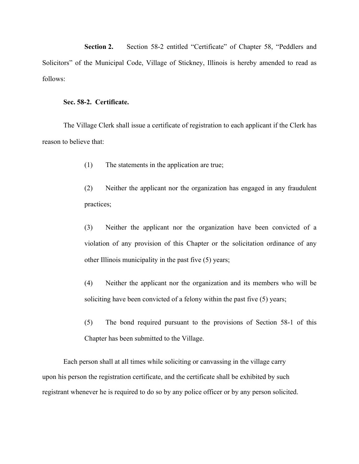**Section 2.** Section 58-2 entitled "Certificate" of Chapter 58, "Peddlers and Solicitors" of the Municipal Code, Village of Stickney, Illinois is hereby amended to read as follows:

## **Sec. 58-2. Certificate.**

The Village Clerk shall issue a certificate of registration to each applicant if the Clerk has reason to believe that:

- (1) The statements in the application are true;
- (2) Neither the applicant nor the organization has engaged in any fraudulent practices;
- (3) Neither the applicant nor the organization have been convicted of a violation of any provision of this Chapter or the solicitation ordinance of any other Illinois municipality in the past five (5) years;
- (4) Neither the applicant nor the organization and its members who will be soliciting have been convicted of a felony within the past five (5) years;
- (5) The bond required pursuant to the provisions of Section 58-1 of this Chapter has been submitted to the Village.

Each person shall at all times while soliciting or canvassing in the village carry upon his person the registration certificate, and the certificate shall be exhibited by such registrant whenever he is required to do so by any police officer or by any person solicited.